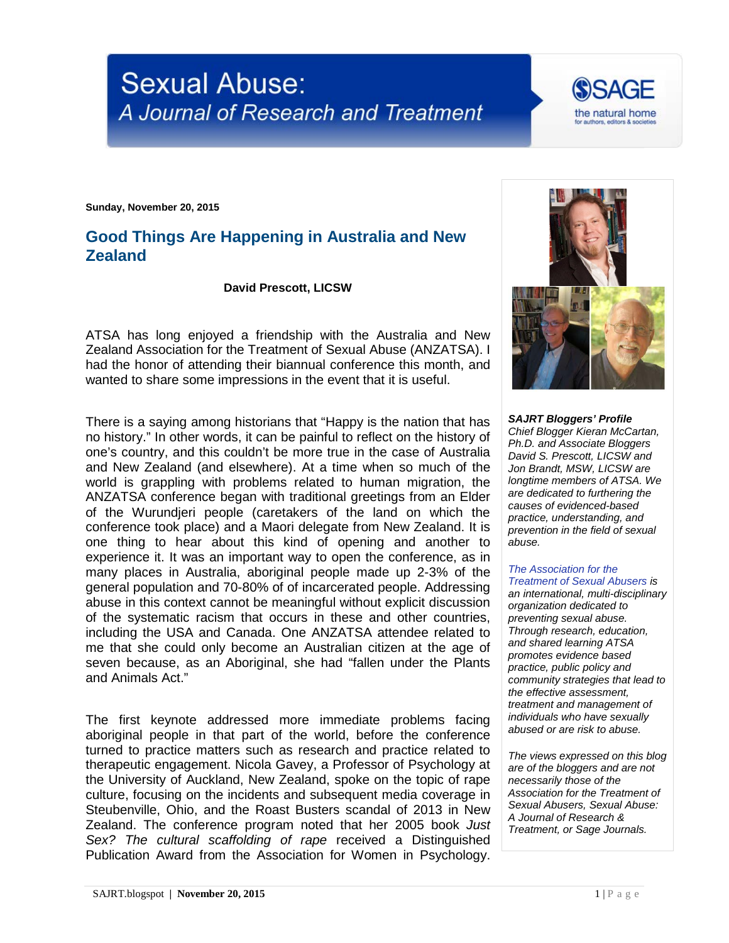



**Sunday, November 20, 2015**

## **Good Things Are Happening in Australia and New Zealand**

**David Prescott, LICSW**

ATSA has long enjoyed a friendship with the Australia and New Zealand Association for the Treatment of Sexual Abuse (ANZATSA). I had the honor of attending their biannual conference this month, and wanted to share some impressions in the event that it is useful.

There is a saying among historians that "Happy is the nation that has no history." In other words, it can be painful to reflect on the history of one's country, and this couldn't be more true in the case of Australia and New Zealand (and elsewhere). At a time when so much of the world is grappling with problems related to human migration, the ANZATSA conference began with traditional greetings from an Elder of the Wurundjeri people (caretakers of the land on which the conference took place) and a Maori delegate from New Zealand. It is one thing to hear about this kind of opening and another to experience it. It was an important way to open the conference, as in many places in Australia, aboriginal people made up 2-3% of the general population and 70-80% of of incarcerated people. Addressing abuse in this context cannot be meaningful without explicit discussion of the systematic racism that occurs in these and other countries, including the USA and Canada. One ANZATSA attendee related to me that she could only become an Australian citizen at the age of seven because, as an Aboriginal, she had "fallen under the Plants and Animals Act."

The first keynote addressed more immediate problems facing aboriginal people in that part of the world, before the conference turned to practice matters such as research and practice related to therapeutic engagement. Nicola Gavey, a Professor of Psychology at the University of Auckland, New Zealand, spoke on the topic of rape culture, focusing on the incidents and subsequent media coverage in Steubenville, Ohio, and the Roast Busters scandal of 2013 in New Zealand. The conference program noted that her 2005 book *Just Sex? The cultural scaffolding of rape* received a Distinguished Publication Award from the Association for Women in Psychology.



*SAJRT Bloggers' Profile Chief Blogger Kieran McCartan, Ph.D. and Associate Bloggers David S. Prescott, LICSW and Jon Brandt, MSW, LICSW are longtime members of ATSA. We are dedicated to furthering the causes of evidenced-based practice, understanding, and prevention in the field of sexual abuse.*

## *[The Association for the](http://atsa.com/)*

*[Treatment of Sexual Abusers](http://atsa.com/) is an international, multi-disciplinary organization dedicated to preventing sexual abuse. Through research, education, and shared learning ATSA promotes evidence based practice, public policy and community strategies that lead to the effective assessment, treatment and management of individuals who have sexually abused or are risk to abuse.* 

*The views expressed on this blog are of the bloggers and are not necessarily those of the Association for the Treatment of Sexual Abusers, Sexual Abuse: A Journal of Research & Treatment, or Sage Journals.*